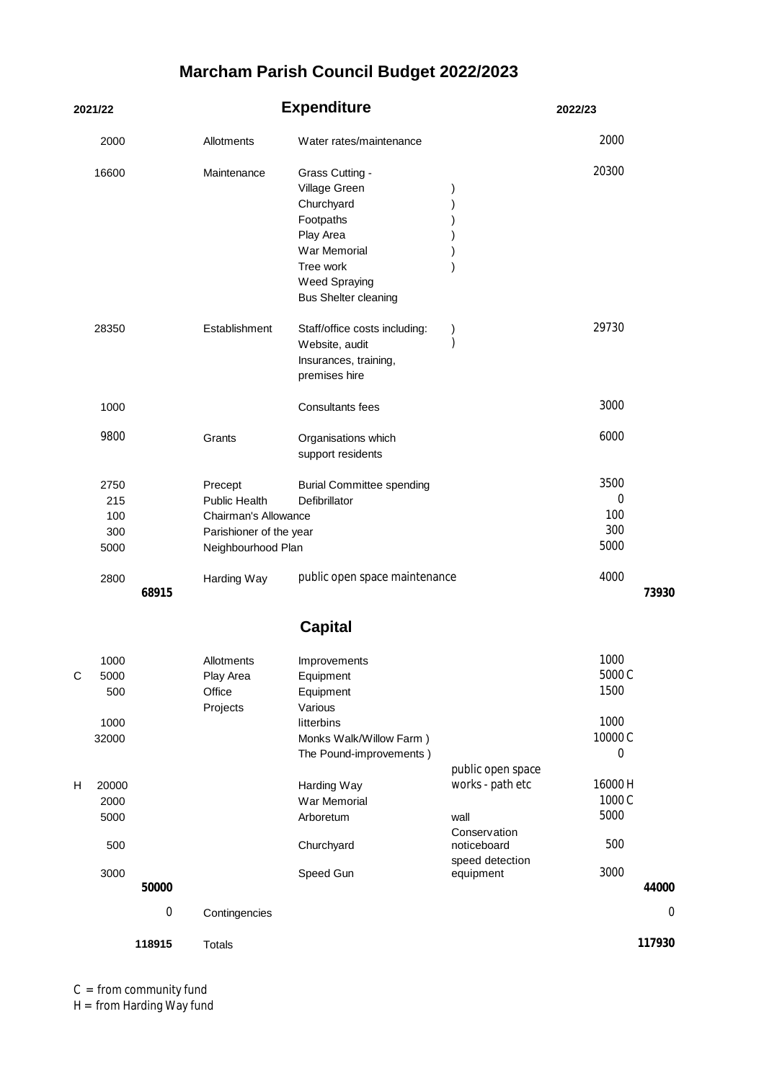## **Marcham Parish Council Budget 2022/2023**

| 2021/22 |                                      |        | <b>Expenditure</b>                                                                                       |                                                                                                                                                       |                                                                                                              | 2022/23                                                      |        |
|---------|--------------------------------------|--------|----------------------------------------------------------------------------------------------------------|-------------------------------------------------------------------------------------------------------------------------------------------------------|--------------------------------------------------------------------------------------------------------------|--------------------------------------------------------------|--------|
|         | 2000                                 |        | Allotments                                                                                               | Water rates/maintenance                                                                                                                               |                                                                                                              | 2000                                                         |        |
|         | 16600                                |        | Maintenance                                                                                              | Grass Cutting -<br>Village Green<br>Churchyard<br>Footpaths<br>Play Area<br>War Memorial<br>Tree work<br>Weed Spraying<br><b>Bus Shelter cleaning</b> |                                                                                                              | 20300                                                        |        |
|         | 28350                                |        | Establishment                                                                                            | Staff/office costs including:<br>Website, audit<br>Insurances, training,<br>premises hire                                                             |                                                                                                              | 29730                                                        |        |
|         | 1000                                 |        |                                                                                                          | <b>Consultants fees</b>                                                                                                                               |                                                                                                              | 3000                                                         |        |
|         | 9800                                 |        | Grants                                                                                                   | Organisations which<br>support residents                                                                                                              |                                                                                                              | 6000                                                         |        |
|         | 2750<br>215<br>100<br>300<br>5000    |        | Precept<br><b>Public Health</b><br>Chairman's Allowance<br>Parishioner of the year<br>Neighbourhood Plan | <b>Burial Committee spending</b><br>Defibrillator                                                                                                     |                                                                                                              | 3500<br>0<br>100<br>300<br>5000                              |        |
|         | 2800                                 | 68915  | Harding Way                                                                                              | public open space maintenance                                                                                                                         |                                                                                                              | 4000                                                         | 73930  |
|         |                                      |        |                                                                                                          | <b>Capital</b>                                                                                                                                        |                                                                                                              |                                                              |        |
|         | 1000<br>5000<br>500<br>1000<br>32000 |        | Allotments<br>Play Area<br>Office<br>Projects                                                            | Improvements<br>Equipment<br>Equipment<br>Various<br>litterbins<br>Monks Walk/Willow Farm)<br>The Pound-improvements)                                 |                                                                                                              | 1000<br>5000 C<br>1500<br>1000<br>10000C<br>$\boldsymbol{0}$ |        |
| Н       | 20000<br>2000<br>5000<br>500<br>3000 |        |                                                                                                          | Harding Way<br>War Memorial<br>Arboretum<br>Churchyard<br>Speed Gun                                                                                   | public open space<br>works - path etc<br>wall<br>Conservation<br>noticeboard<br>speed detection<br>equipment | 16000H<br>1000 C<br>5000<br>500<br>3000                      |        |
|         |                                      | 50000  |                                                                                                          |                                                                                                                                                       |                                                                                                              |                                                              | 44000  |
|         |                                      | 0      | Contingencies                                                                                            |                                                                                                                                                       |                                                                                                              |                                                              | 0      |
|         |                                      | 118915 | Totals                                                                                                   |                                                                                                                                                       |                                                                                                              |                                                              | 117930 |

C = from community fund

H = from Harding Way fund